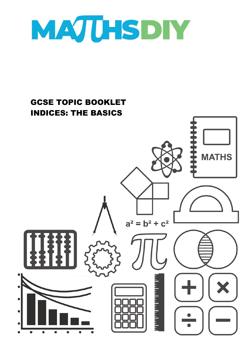

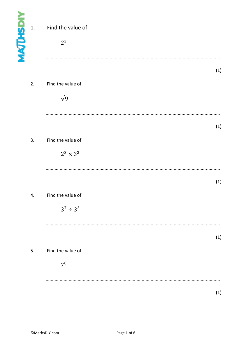| <b>MAJUHSDIY</b> | 1. | Find the value of<br>2 <sup>3</sup>  |     |
|------------------|----|--------------------------------------|-----|
|                  | 2. | Find the value of<br>$\sqrt{9}$      | (1) |
|                  | 3. | Find the value of<br>$2^3\times 3^2$ | (1) |
|                  | 4. | Find the value of<br>$3^7 \div 3^5$  | (1) |
|                  | 5. | Find the value of<br>7 <sup>0</sup>  | (1) |
|                  |    |                                      | (1) |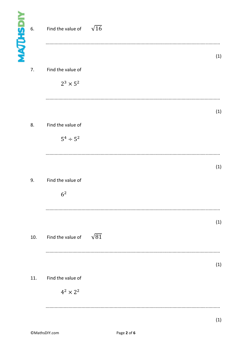| <b>MAJUHSDIY</b><br>6. | Find the value of                     | $\sqrt{16}$ |
|------------------------|---------------------------------------|-------------|
| 7.                     | Find the value of<br>$2^3\times 5^2$  | (1)         |
|                        |                                       | (1)         |
| 8.                     | Find the value of<br>$5^4 \div 5^2$   |             |
| 9.                     | Find the value of<br>6 <sup>2</sup>   | (1)         |
| 10.                    | Find the value of $\sqrt{81}$         | (1)         |
| 11.                    | Find the value of<br>$4^2 \times 2^2$ | (1)         |
|                        |                                       | (1)         |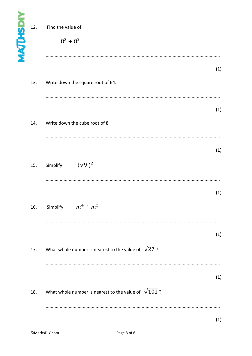| <b>MAJUHSDIY</b><br>12. | Find the value of<br>$8^3 \div 8^2$                         |     |
|-------------------------|-------------------------------------------------------------|-----|
| 13.                     | Write down the square root of 64.                           | (1) |
| 14.                     | Write down the cube root of 8.                              | (1) |
| 15.                     | $(\sqrt{9})^2$<br>Simplify                                  | (1) |
|                         | 16. Simplify $m^4 \div m^2$                                 | (1) |
| 17.                     | What whole number is nearest to the value of $\sqrt{27}$ ?  | (1) |
| 18.                     | What whole number is nearest to the value of $\sqrt{101}$ ? | (1) |
|                         |                                                             | (1) |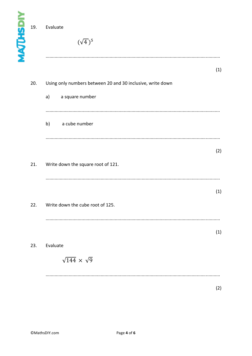| <b>MAJUHSDIY</b> | 19. | Evaluate<br>$(\sqrt{4})^5$                                 |     |
|------------------|-----|------------------------------------------------------------|-----|
|                  |     |                                                            | (1) |
|                  | 20. | Using only numbers between 20 and 30 inclusive, write down |     |
|                  |     | a)<br>a square number                                      |     |
|                  |     |                                                            |     |
|                  |     | b)<br>a cube number                                        |     |
|                  |     |                                                            |     |
|                  |     |                                                            | (2) |
|                  | 21. | Write down the square root of 121.                         |     |
|                  |     |                                                            |     |
|                  |     |                                                            | (1) |
|                  | 22. | Write down the cube root of 125.                           |     |
|                  |     |                                                            |     |
|                  |     |                                                            | (1) |
|                  | 23. | Evaluate                                                   |     |
|                  |     | $\sqrt{144} \times \sqrt{9}$                               |     |
|                  |     |                                                            |     |
|                  |     |                                                            | (2) |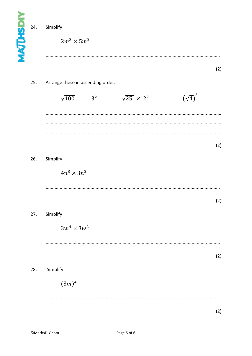| <b>MAJUHSDIY</b> | 24. | Simplify<br>$2m^3 \times 5m^2$                                                                               |     |
|------------------|-----|--------------------------------------------------------------------------------------------------------------|-----|
|                  |     |                                                                                                              | (2) |
|                  | 25. | Arrange these in ascending order.<br>$(\sqrt{4})^3$<br>$\sqrt{25}$ × 2 <sup>2</sup><br>$\sqrt{100}$<br>$3^2$ |     |
|                  |     |                                                                                                              | (2) |
|                  | 26. | Simplify<br>$4n^3 \times 3n^2$                                                                               |     |
|                  | 27. | Simplify                                                                                                     | (2) |
|                  |     | $3w^4 \times 3w^2$                                                                                           | (2) |
|                  | 28. | Simplify<br>$(3m)^4$                                                                                         |     |
|                  |     |                                                                                                              | (2) |